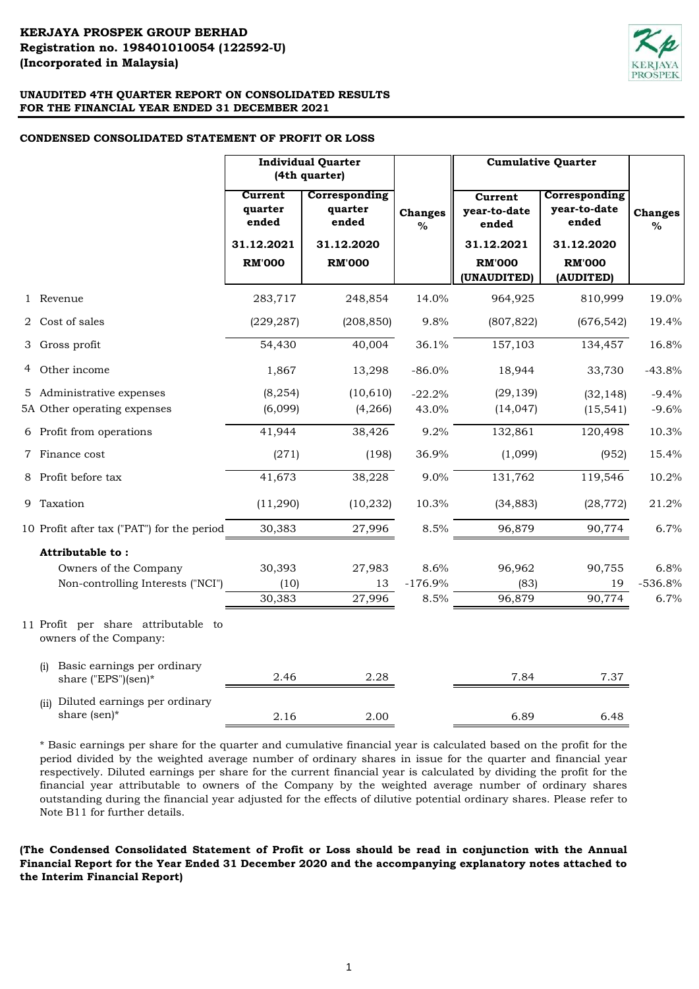

# **CONDENSED CONSOLIDATED STATEMENT OF PROFIT OR LOSS**

|                                                               | <b>Individual Quarter</b><br>(4th quarter) |                                   | <b>Cumulative Quarter</b> |                                  |                                        |                     |
|---------------------------------------------------------------|--------------------------------------------|-----------------------------------|---------------------------|----------------------------------|----------------------------------------|---------------------|
|                                                               | Current<br>quarter<br>ended                | Corresponding<br>quarter<br>ended | <b>Changes</b><br>%       | Current<br>year-to-date<br>ended | Corresponding<br>year-to-date<br>ended | <b>Changes</b><br>% |
|                                                               | 31.12.2021                                 | 31.12.2020                        |                           | 31.12.2021                       | 31.12.2020                             |                     |
|                                                               | <b>RM'000</b>                              | <b>RM'000</b>                     |                           | <b>RM'000</b>                    | <b>RM'000</b>                          |                     |
|                                                               |                                            |                                   |                           | (UNAUDITED)                      | (AUDITED)                              |                     |
| 1 Revenue                                                     | 283,717                                    | 248,854                           | 14.0%                     | 964,925                          | 810,999                                | 19.0%               |
| 2 Cost of sales                                               | (229, 287)                                 | (208, 850)                        | 9.8%                      | (807, 822)                       | (676, 542)                             | 19.4%               |
| 3 Gross profit                                                | 54,430                                     | 40,004                            | 36.1%                     | 157,103                          | 134,457                                | 16.8%               |
| 4 Other income                                                | 1,867                                      | 13,298                            | $-86.0%$                  | 18,944                           | 33,730                                 | $-43.8%$            |
| 5 Administrative expenses                                     | (8, 254)                                   | (10, 610)                         | $-22.2%$                  | (29, 139)                        | (32, 148)                              | $-9.4%$             |
| 5A Other operating expenses                                   | (6,099)                                    | (4,266)                           | 43.0%                     | (14, 047)                        | (15, 541)                              | $-9.6%$             |
| 6 Profit from operations                                      | 41,944                                     | 38,426                            | 9.2%                      | 132,861                          | 120,498                                | 10.3%               |
| 7 Finance cost                                                | (271)                                      | (198)                             | 36.9%                     | (1,099)                          | (952)                                  | 15.4%               |
| 8 Profit before tax                                           | 41,673                                     | 38,228                            | 9.0%                      | 131,762                          | 119,546                                | 10.2%               |
| 9 Taxation                                                    | (11,290)                                   | (10, 232)                         | 10.3%                     | (34, 883)                        | (28, 772)                              | 21.2%               |
| 10 Profit after tax ("PAT") for the period                    | 30,383                                     | 27,996                            | 8.5%                      | 96,879                           | 90,774                                 | 6.7%                |
| Attributable to:                                              |                                            |                                   |                           |                                  |                                        |                     |
| Owners of the Company                                         | 30,393                                     | 27,983                            | 8.6%                      | 96,962                           | 90,755                                 | 6.8%                |
| Non-controlling Interests ("NCI")                             | (10)                                       | 13                                | $-176.9%$                 | (83)                             | 19                                     | $-536.8%$           |
|                                                               | 30,383                                     | 27,996                            | 8.5%                      | 96,879                           | 90,774                                 | 6.7%                |
| 11 Profit per share attributable to<br>owners of the Company: |                                            |                                   |                           |                                  |                                        |                     |
| Basic earnings per ordinary<br>(i)<br>share ("EPS")(sen)*     | 2.46                                       | 2.28                              |                           | 7.84                             | 7.37                                   |                     |
| Diluted earnings per ordinary<br>(ii)<br>share (sen)*         | 2.16                                       | 2.00                              |                           | 6.89                             | 6.48                                   |                     |
|                                                               |                                            |                                   |                           |                                  |                                        |                     |

\* Basic earnings per share for the quarter and cumulative financial year is calculated based on the profit for the period divided by the weighted average number of ordinary shares in issue for the quarter and financial year respectively. Diluted earnings per share for the current financial year is calculated by dividing the profit for the financial year attributable to owners of the Company by the weighted average number of ordinary shares outstanding during the financial year adjusted for the effects of dilutive potential ordinary shares. Please refer to Note B11 for further details.

**(The Condensed Consolidated Statement of Profit or Loss should be read in conjunction with the Annual Financial Report for the Year Ended 31 December 2020 and the accompanying explanatory notes attached to the Interim Financial Report)**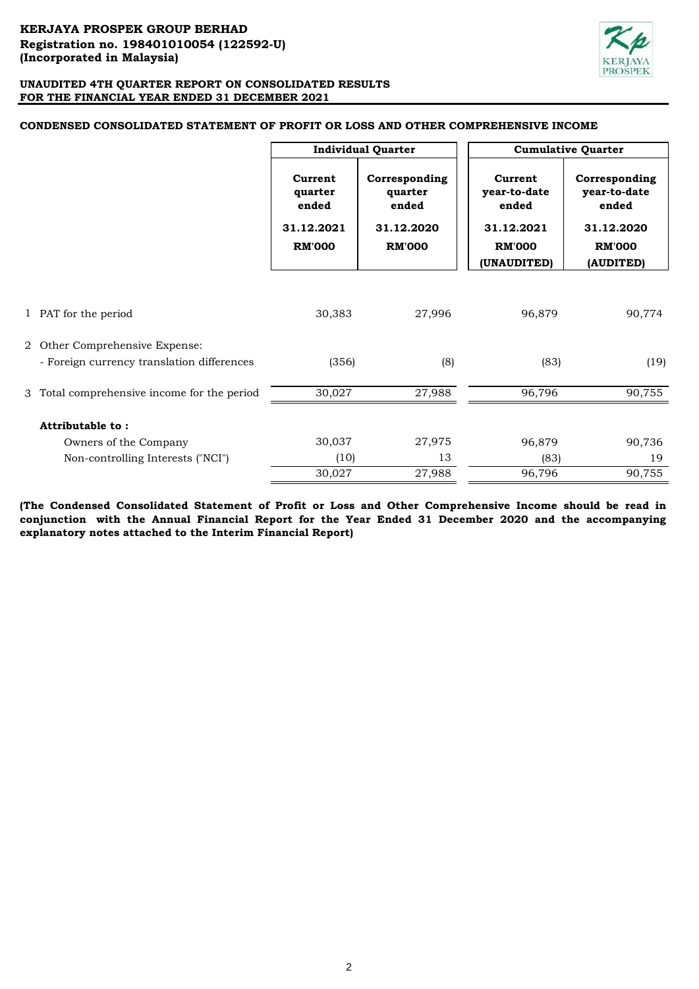

|                                             | <b>Individual Quarter</b>   |                                   |                                  | <b>Cumulative Quarter</b>              |
|---------------------------------------------|-----------------------------|-----------------------------------|----------------------------------|----------------------------------------|
|                                             | Current<br>quarter<br>ended | Corresponding<br>quarter<br>ended | Current<br>year-to-date<br>ended | Corresponding<br>year-to-date<br>ended |
|                                             | 31.12.2021                  | 31.12.2020                        | 31.12.2021                       | 31.12.2020                             |
|                                             | <b>RM'000</b>               | <b>RM'000</b>                     | <b>RM'000</b>                    | <b>RM'000</b>                          |
|                                             |                             |                                   | (UNAUDITED)                      | (AUDITED)                              |
| 1 PAT for the period                        | 30,383                      | 27,996                            | 96,879                           | 90,774                                 |
| 2 Other Comprehensive Expense:              |                             |                                   |                                  |                                        |
| - Foreign currency translation differences  | (356)                       | (8)                               | (83)                             | (19)                                   |
| 3 Total comprehensive income for the period | 30,027                      | 27,988                            | 96,796                           | 90,755                                 |
| Attributable to:                            |                             |                                   |                                  |                                        |
| Owners of the Company                       | 30,037                      | 27,975                            | 96,879                           | 90,736                                 |
| Non-controlling Interests ("NCI")           | (10)                        | 13                                | (83)                             | 19                                     |
|                                             | 30,027                      | 27,988                            | 96,796                           | 90,755                                 |

## **CONDENSED CONSOLIDATED STATEMENT OF PROFIT OR LOSS AND OTHER COMPREHENSIVE INCOME**

**(The Condensed Consolidated Statement of Profit or Loss and Other Comprehensive Income should be read in conjunction with the Annual Financial Report for the Year Ended 31 December 2020 and the accompanying explanatory notes attached to the Interim Financial Report)**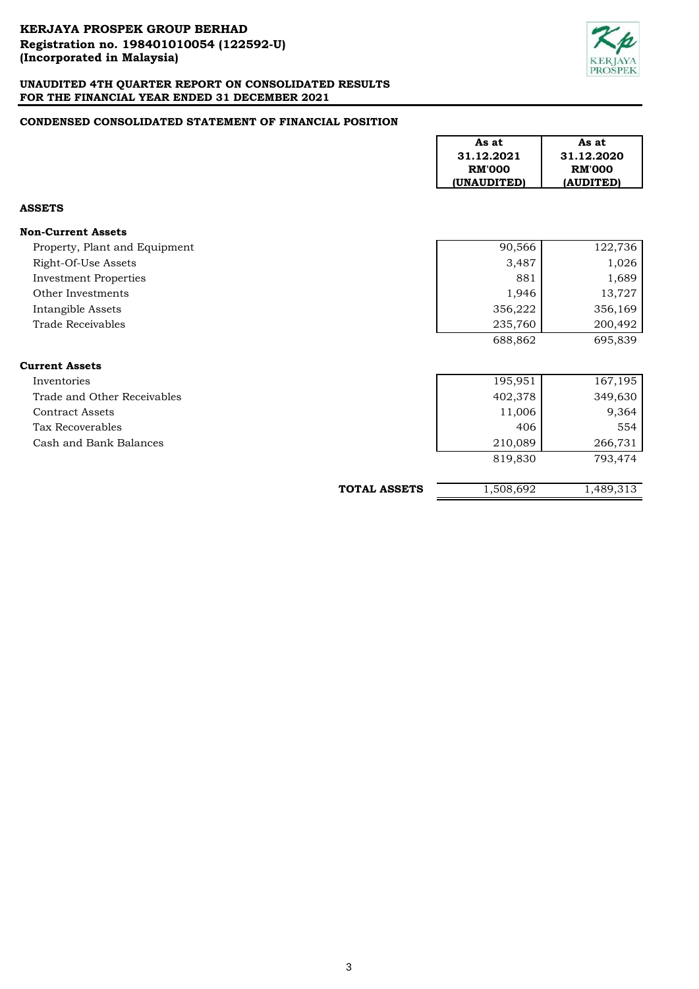

# **CONDENSED CONSOLIDATED STATEMENT OF FINANCIAL POSITION**

|                               |                     | As at<br>31.12.2021<br><b>RM'000</b><br>(UNAUDITED) | As at<br>31.12.2020<br><b>RM'000</b><br>(AUDITED) |
|-------------------------------|---------------------|-----------------------------------------------------|---------------------------------------------------|
| <b>ASSETS</b>                 |                     |                                                     |                                                   |
| <b>Non-Current Assets</b>     |                     |                                                     |                                                   |
| Property, Plant and Equipment |                     | 90,566                                              | 122,736                                           |
| Right-Of-Use Assets           |                     | 3,487                                               | 1,026                                             |
| <b>Investment Properties</b>  |                     | 881                                                 | 1,689                                             |
| Other Investments             |                     | 1,946                                               | 13,727                                            |
| Intangible Assets             |                     | 356,222                                             | 356,169                                           |
| Trade Receivables             |                     | 235,760                                             | 200,492                                           |
|                               |                     | 688,862                                             | 695,839                                           |
| <b>Current Assets</b>         |                     |                                                     |                                                   |
| Inventories                   |                     | 195,951                                             | 167,195                                           |
| Trade and Other Receivables   |                     | 402,378                                             | 349,630                                           |
| <b>Contract Assets</b>        |                     | 11,006                                              | 9,364                                             |
| <b>Tax Recoverables</b>       |                     | 406                                                 | 554                                               |
| Cash and Bank Balances        |                     | 210,089                                             | 266,731                                           |
|                               |                     | 819,830                                             | 793,474                                           |
|                               | <b>TOTAL ASSETS</b> | 1,508,692                                           | $1,489,3\overline{13}$                            |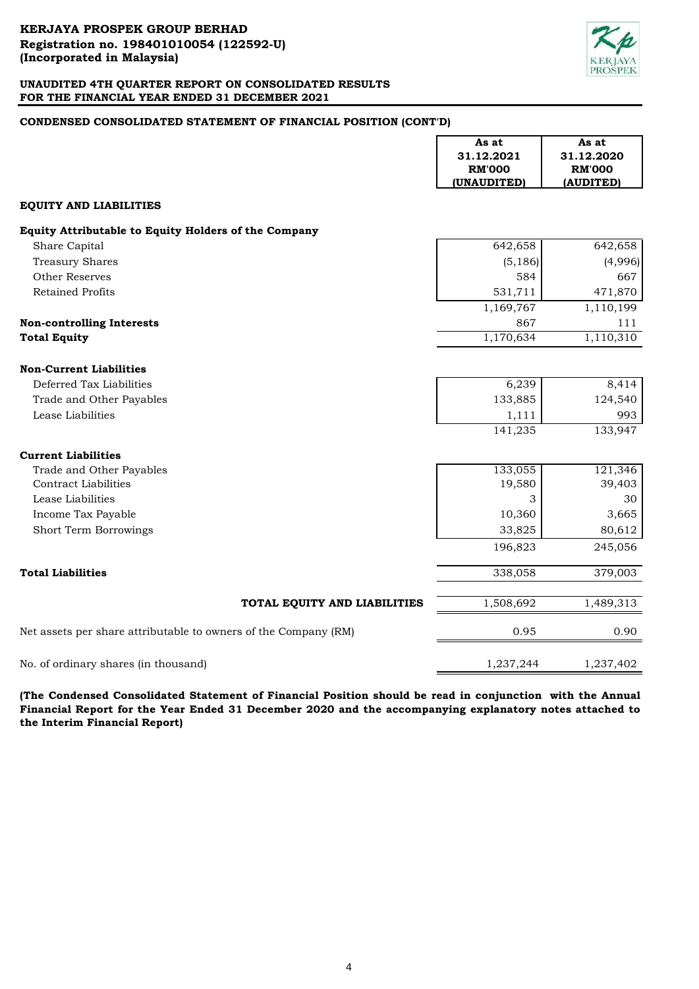

# **CONDENSED CONSOLIDATED STATEMENT OF FINANCIAL POSITION (CONT'D)**

|                                                                 | As at<br>31.12.2021 | As at<br>31.12.2020 |
|-----------------------------------------------------------------|---------------------|---------------------|
|                                                                 | <b>RM'000</b>       | <b>RM'000</b>       |
|                                                                 | (UNAUDITED)         | (AUDITED)           |
| <b>EQUITY AND LIABILITIES</b>                                   |                     |                     |
| Equity Attributable to Equity Holders of the Company            |                     |                     |
| Share Capital                                                   | 642,658             | 642,658             |
| <b>Treasury Shares</b>                                          | (5, 186)            | (4,996)             |
| <b>Other Reserves</b>                                           | 584                 | 667                 |
| <b>Retained Profits</b>                                         | 531,711             | 471,870             |
|                                                                 | 1,169,767           | 1,110,199           |
| <b>Non-controlling Interests</b>                                | 867                 | 111                 |
| <b>Total Equity</b>                                             | 1,170,634           | 1,110,310           |
| <b>Non-Current Liabilities</b>                                  |                     |                     |
| Deferred Tax Liabilities                                        | 6,239               | 8,414               |
| Trade and Other Payables                                        | 133,885             | 124,540             |
| Lease Liabilities                                               | 1,111               | 993                 |
|                                                                 | 141,235             | 133,947             |
| <b>Current Liabilities</b>                                      |                     |                     |
| Trade and Other Payables                                        | 133,055             | 121,346             |
| <b>Contract Liabilities</b>                                     | 19,580              | 39,403              |
| Lease Liabilities                                               | 3                   | 30                  |
| Income Tax Payable                                              | 10,360              | 3,665               |
| Short Term Borrowings                                           | 33,825              | 80,612              |
|                                                                 | 196,823             | 245,056             |
| <b>Total Liabilities</b>                                        | 338,058             | 379,003             |
| TOTAL EQUITY AND LIABILITIES                                    | 1,508,692           | 1,489,313           |
| Net assets per share attributable to owners of the Company (RM) | 0.95                | 0.90                |
| No. of ordinary shares (in thousand)                            | 1,237,244           | 1,237,402           |

**(The Condensed Consolidated Statement of Financial Position should be read in conjunction with the Annual Financial Report for the Year Ended 31 December 2020 and the accompanying explanatory notes attached to the Interim Financial Report)**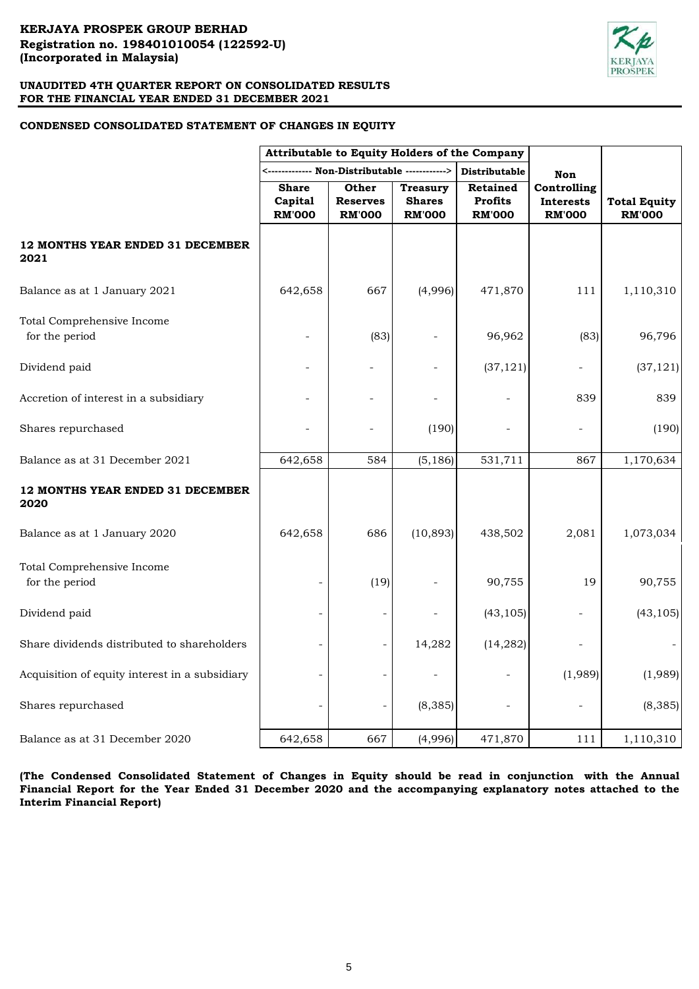

# **CONDENSED CONSOLIDATED STATEMENT OF CHANGES IN EQUITY**

|                                                | Attributable to Equity Holders of the Company |                                           |                                                   |                                                    |                                                  |                                      |
|------------------------------------------------|-----------------------------------------------|-------------------------------------------|---------------------------------------------------|----------------------------------------------------|--------------------------------------------------|--------------------------------------|
|                                                |                                               | ----- Non-Distributable -----             | ----->                                            | Distributable                                      | <b>Non</b>                                       |                                      |
|                                                | <b>Share</b><br>Capital<br><b>RM'000</b>      | Other<br><b>Reserves</b><br><b>RM'000</b> | <b>Treasury</b><br><b>Shares</b><br><b>RM'000</b> | <b>Retained</b><br><b>Profits</b><br><b>RM'000</b> | Controlling<br><b>Interests</b><br><b>RM'000</b> | <b>Total Equity</b><br><b>RM'000</b> |
| 12 MONTHS YEAR ENDED 31 DECEMBER<br>2021       |                                               |                                           |                                                   |                                                    |                                                  |                                      |
| Balance as at 1 January 2021                   | 642,658                                       | 667                                       | (4,996)                                           | 471,870                                            | 111                                              | 1,110,310                            |
| Total Comprehensive Income<br>for the period   |                                               | (83)                                      |                                                   | 96,962                                             | (83)                                             | 96,796                               |
| Dividend paid                                  |                                               |                                           | $\overline{\phantom{a}}$                          | (37, 121)                                          |                                                  | (37, 121)                            |
| Accretion of interest in a subsidiary          |                                               | ÷.                                        | $\overline{a}$                                    |                                                    | 839                                              | 839                                  |
| Shares repurchased                             |                                               |                                           | (190)                                             |                                                    |                                                  | (190)                                |
| Balance as at 31 December 2021                 | 642,658                                       | 584                                       | (5, 186)                                          | 531,711                                            | 867                                              | 1,170,634                            |
| 12 MONTHS YEAR ENDED 31 DECEMBER<br>2020       |                                               |                                           |                                                   |                                                    |                                                  |                                      |
| Balance as at 1 January 2020                   | 642,658                                       | 686                                       | (10, 893)                                         | 438,502                                            | 2,081                                            | 1,073,034                            |
| Total Comprehensive Income<br>for the period   |                                               | (19)                                      |                                                   | 90,755                                             | 19                                               | 90,755                               |
| Dividend paid                                  |                                               |                                           |                                                   | (43, 105)                                          |                                                  | (43, 105)                            |
| Share dividends distributed to shareholders    |                                               |                                           | 14,282                                            | (14, 282)                                          |                                                  |                                      |
| Acquisition of equity interest in a subsidiary |                                               |                                           |                                                   |                                                    | (1,989)                                          | (1,989)                              |
| Shares repurchased                             |                                               |                                           | (8, 385)                                          |                                                    |                                                  | (8, 385)                             |
| Balance as at 31 December 2020                 | 642,658                                       | 667                                       | (4,996)                                           | 471,870                                            | 111                                              | 1,110,310                            |

**(The Condensed Consolidated Statement of Changes in Equity should be read in conjunction with the Annual** Financial Report for the Year Ended 31 December 2020 and the accompanying explanatory notes attached to the **Interim Financial Report)**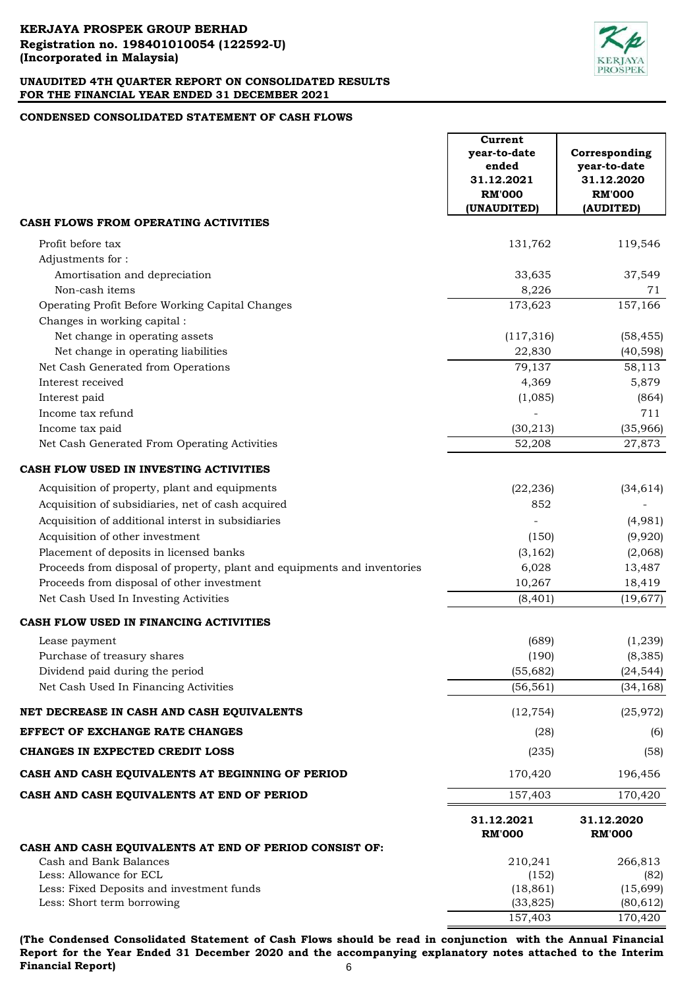

# **CONDENSED CONSOLIDATED STATEMENT OF CASH FLOWS**

|                                                                          | Current<br>year-to-date<br>ended<br>31.12.2021<br><b>RM'000</b><br>(UNAUDITED) | Corresponding<br>year-to-date<br>31.12.2020<br><b>RM'000</b><br>(AUDITED) |
|--------------------------------------------------------------------------|--------------------------------------------------------------------------------|---------------------------------------------------------------------------|
| CASH FLOWS FROM OPERATING ACTIVITIES                                     |                                                                                |                                                                           |
| Profit before tax<br>Adjustments for:                                    | 131,762                                                                        | 119,546                                                                   |
| Amortisation and depreciation                                            | 33,635                                                                         | 37,549                                                                    |
| Non-cash items                                                           | 8,226                                                                          | 71                                                                        |
| Operating Profit Before Working Capital Changes                          | 173,623                                                                        | 157,166                                                                   |
| Changes in working capital :                                             |                                                                                |                                                                           |
| Net change in operating assets                                           | (117, 316)                                                                     | (58, 455)                                                                 |
| Net change in operating liabilities                                      | 22,830                                                                         | (40, 598)                                                                 |
| Net Cash Generated from Operations                                       | 79,137                                                                         | 58,113                                                                    |
| Interest received                                                        | 4,369                                                                          | 5,879                                                                     |
| Interest paid                                                            | (1,085)                                                                        | (864)                                                                     |
| Income tax refund                                                        |                                                                                | 711                                                                       |
| Income tax paid                                                          | (30, 213)                                                                      | (35,966)                                                                  |
| Net Cash Generated From Operating Activities                             | 52,208                                                                         | 27,873                                                                    |
| CASH FLOW USED IN INVESTING ACTIVITIES                                   |                                                                                |                                                                           |
| Acquisition of property, plant and equipments                            | (22, 236)                                                                      | (34, 614)                                                                 |
| Acquisition of subsidiaries, net of cash acquired                        | 852                                                                            |                                                                           |
| Acquisition of additional interst in subsidiaries                        |                                                                                | (4,981)                                                                   |
| Acquisition of other investment                                          | (150)                                                                          | (9,920)                                                                   |
| Placement of deposits in licensed banks                                  | (3, 162)                                                                       | (2,068)                                                                   |
| Proceeds from disposal of property, plant and equipments and inventories | 6,028                                                                          | 13,487                                                                    |
| Proceeds from disposal of other investment                               | 10,267                                                                         | 18,419                                                                    |
| Net Cash Used In Investing Activities                                    | (8, 401)                                                                       | (19, 677)                                                                 |
| CASH FLOW USED IN FINANCING ACTIVITIES                                   |                                                                                |                                                                           |
| Lease payment                                                            | (689)                                                                          | (1, 239)                                                                  |
| Purchase of treasury shares                                              | (190)                                                                          | (8, 385)                                                                  |
| Dividend paid during the period                                          | (55, 682)                                                                      | (24, 544)                                                                 |
| Net Cash Used In Financing Activities                                    | (56, 561)                                                                      | (34, 168)                                                                 |
| NET DECREASE IN CASH AND CASH EQUIVALENTS                                | (12, 754)                                                                      | (25, 972)                                                                 |
| EFFECT OF EXCHANGE RATE CHANGES                                          | (28)                                                                           | (6)                                                                       |
| CHANGES IN EXPECTED CREDIT LOSS                                          | (235)                                                                          | (58)                                                                      |
| CASH AND CASH EQUIVALENTS AT BEGINNING OF PERIOD                         | 170,420                                                                        | 196,456                                                                   |
| CASH AND CASH EQUIVALENTS AT END OF PERIOD                               | 157,403                                                                        | 170,420                                                                   |
| CASH AND CASH EQUIVALENTS AT END OF PERIOD CONSIST OF:                   | 31.12.2021<br><b>RM'000</b>                                                    | 31.12.2020<br><b>RM'000</b>                                               |
| Cash and Bank Balances                                                   | 210,241                                                                        | 266,813                                                                   |
| Less: Allowance for ECL                                                  | (152)                                                                          | (82)                                                                      |
| Less: Fixed Deposits and investment funds                                | (18, 861)                                                                      | (15, 699)                                                                 |
| Less: Short term borrowing                                               | (33, 825)                                                                      | (80, 612)                                                                 |
|                                                                          | 157,403                                                                        | 170,420                                                                   |

**(The Condensed Consolidated Statement of Cash Flows should be read in conjunction with the Annual Financial Report for the Year Ended 31 December 2020 and the accompanying explanatory notes attached to the Interim Financial Report)** 6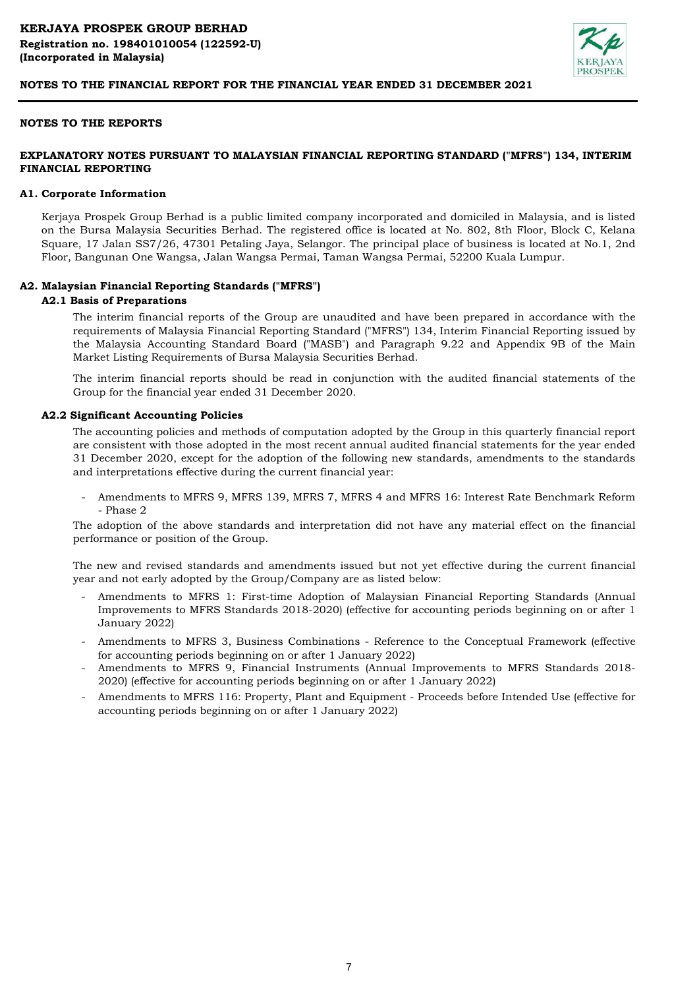

# **NOTES TO THE REPORTS**

# **EXPLANATORY NOTES PURSUANT TO MALAYSIAN FINANCIAL REPORTING STANDARD ("MFRS") 134, INTERIM FINANCIAL REPORTING**

#### **A1. Corporate Information**

Kerjaya Prospek Group Berhad is a public limited company incorporated and domiciled in Malaysia, and is listed on the Bursa Malaysia Securities Berhad. The registered office is located at No. 802, 8th Floor, Block C, Kelana Square, 17 Jalan SS7/26, 47301 Petaling Jaya, Selangor. The principal place of business is located at No.1, 2nd Floor, Bangunan One Wangsa, Jalan Wangsa Permai, Taman Wangsa Permai, 52200 Kuala Lumpur.

#### **A2. Malaysian Financial Reporting Standards ("MFRS")**

# **A2.1 Basis of Preparations**

The interim financial reports of the Group are unaudited and have been prepared in accordance with the requirements of Malaysia Financial Reporting Standard ("MFRS") 134, Interim Financial Reporting issued by the Malaysia Accounting Standard Board ("MASB") and Paragraph 9.22 and Appendix 9B of the Main Market Listing Requirements of Bursa Malaysia Securities Berhad.

The interim financial reports should be read in conjunction with the audited financial statements of the Group for the financial year ended 31 December 2020.

#### **A2.2 Significant Accounting Policies**

The accounting policies and methods of computation adopted by the Group in this quarterly financial report are consistent with those adopted in the most recent annual audited financial statements for the year ended 31 December 2020, except for the adoption of the following new standards, amendments to the standards and interpretations effective during the current financial year:

- Amendments to MFRS 9, MFRS 139, MFRS 7, MFRS 4 and MFRS 16: Interest Rate Benchmark Reform - Phase 2

The adoption of the above standards and interpretation did not have any material effect on the financial performance or position of the Group.

The new and revised standards and amendments issued but not yet effective during the current financial year and not early adopted by the Group/Company are as listed below:

- Amendments to MFRS 1: First-time Adoption of Malaysian Financial Reporting Standards (Annual Improvements to MFRS Standards 2018-2020) (effective for accounting periods beginning on or after 1 January 2022)
- Amendments to MFRS 3, Business Combinations Reference to the Conceptual Framework (effective for accounting periods beginning on or after 1 January 2022)
- Amendments to MFRS 9, Financial Instruments (Annual Improvements to MFRS Standards 2018- 2020) (effective for accounting periods beginning on or after 1 January 2022)
- Amendments to MFRS 116: Property, Plant and Equipment - Proceeds before Intended Use (effective for accounting periods beginning on or after 1 January 2022)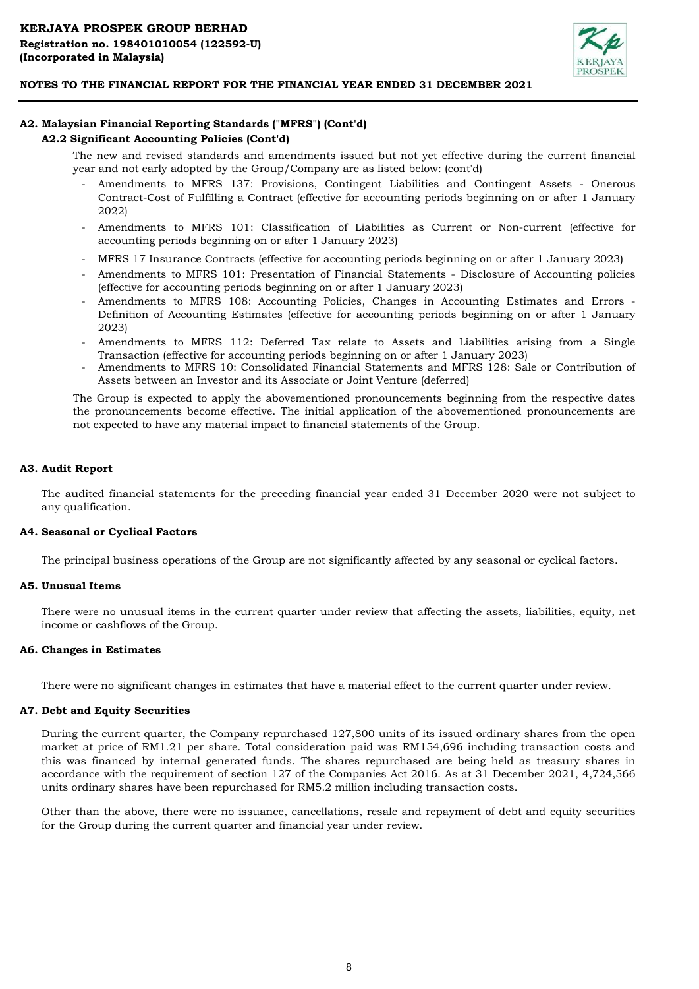

# **A2. Malaysian Financial Reporting Standards ("MFRS") (Cont'd)**

## **A2.2 Significant Accounting Policies (Cont'd)**

The new and revised standards and amendments issued but not yet effective during the current financial year and not early adopted by the Group/Company are as listed below: (cont'd)

- Amendments to MFRS 137: Provisions, Contingent Liabilities and Contingent Assets - Onerous Contract-Cost of Fulfilling a Contract (effective for accounting periods beginning on or after 1 January 2022)
- Amendments to MFRS 101: Classification of Liabilities as Current or Non-current (effective for accounting periods beginning on or after 1 January 2023)
- MFRS 17 Insurance Contracts (effective for accounting periods beginning on or after 1 January 2023)
- Amendments to MFRS 101: Presentation of Financial Statements - Disclosure of Accounting policies (effective for accounting periods beginning on or after 1 January 2023)
- Amendments to MFRS 108: Accounting Policies, Changes in Accounting Estimates and Errors - Definition of Accounting Estimates (effective for accounting periods beginning on or after 1 January 2023)
- Amendments to MFRS 112: Deferred Tax relate to Assets and Liabilities arising from a Single Transaction (effective for accounting periods beginning on or after 1 January 2023)
- Amendments to MFRS 10: Consolidated Financial Statements and MFRS 128: Sale or Contribution of Assets between an Investor and its Associate or Joint Venture (deferred)

The Group is expected to apply the abovementioned pronouncements beginning from the respective dates the pronouncements become effective. The initial application of the abovementioned pronouncements are not expected to have any material impact to financial statements of the Group.

# **A3. Audit Report**

The audited financial statements for the preceding financial year ended 31 December 2020 were not subject to any qualification.

#### **A4. Seasonal or Cyclical Factors**

The principal business operations of the Group are not significantly affected by any seasonal or cyclical factors.

#### **A5. Unusual Items**

There were no unusual items in the current quarter under review that affecting the assets, liabilities, equity, net income or cashflows of the Group.

#### **A6. Changes in Estimates**

There were no significant changes in estimates that have a material effect to the current quarter under review.

#### **A7. Debt and Equity Securities**

During the current quarter, the Company repurchased 127,800 units of its issued ordinary shares from the open market at price of RM1.21 per share. Total consideration paid was RM154,696 including transaction costs and this was financed by internal generated funds. The shares repurchased are being held as treasury shares in accordance with the requirement of section 127 of the Companies Act 2016. As at 31 December 2021, 4,724,566 units ordinary shares have been repurchased for RM5.2 million including transaction costs.

Other than the above, there were no issuance, cancellations, resale and repayment of debt and equity securities for the Group during the current quarter and financial year under review.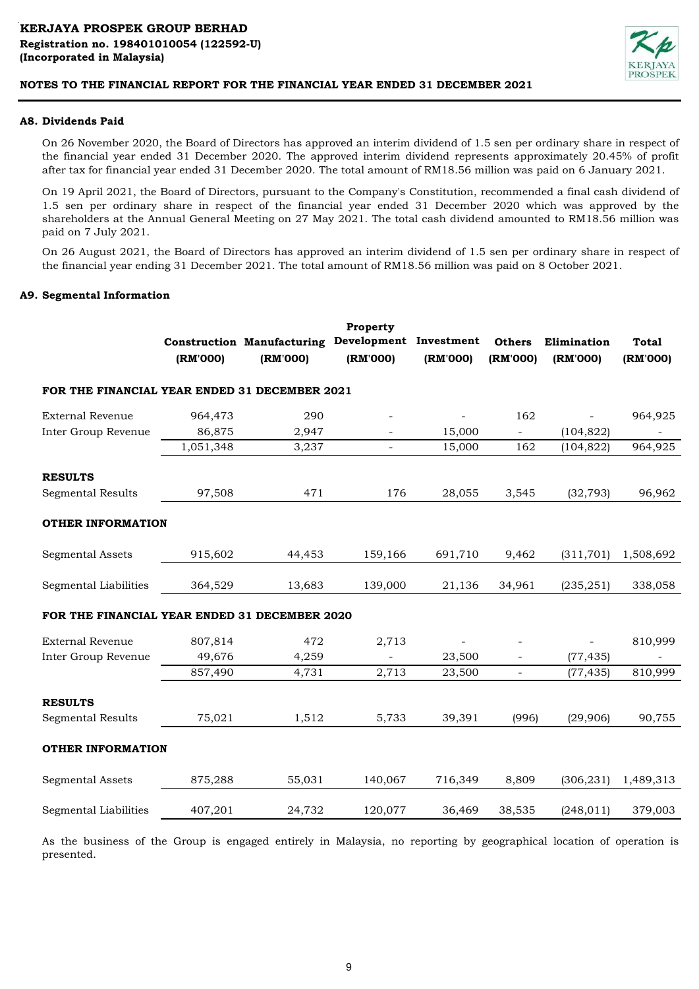

# **A8. Dividends Paid**

On 26 November 2020, the Board of Directors has approved an interim dividend of 1.5 sen per ordinary share in respect of the financial year ended 31 December 2020. The approved interim dividend represents approximately 20.45% of profit after tax for financial year ended 31 December 2020. The total amount of RM18.56 million was paid on 6 January 2021.

On 19 April 2021, the Board of Directors, pursuant to the Company's Constitution, recommended a final cash dividend of 1.5 sen per ordinary share in respect of the financial year ended 31 December 2020 which was approved by the shareholders at the Annual General Meeting on 27 May 2021. The total cash dividend amounted to RM18.56 million was paid on 7 July 2021.

On 26 August 2021, the Board of Directors has approved an interim dividend of 1.5 sen per ordinary share in respect of the financial year ending 31 December 2021. The total amount of RM18.56 million was paid on 8 October 2021.

#### **A9. Segmental Information**

|                                               | (RM'000)  | <b>Construction Manufacturing</b><br>(RM'000) | Property<br>Development Investment<br>(RM'000) | (RM'000) | <b>Others</b><br>(RM'000) | Elimination<br>(RM'000) | <b>Total</b><br>(RM'000) |
|-----------------------------------------------|-----------|-----------------------------------------------|------------------------------------------------|----------|---------------------------|-------------------------|--------------------------|
| FOR THE FINANCIAL YEAR ENDED 31 DECEMBER 2021 |           |                                               |                                                |          |                           |                         |                          |
| <b>External Revenue</b>                       | 964,473   | 290                                           |                                                |          | 162                       |                         | 964,925                  |
| Inter Group Revenue                           | 86,875    | 2,947                                         |                                                | 15,000   | $\equiv$                  | (104, 822)              |                          |
|                                               | 1,051,348 | 3,237                                         |                                                | 15,000   | 162                       | (104, 822)              | 964,925                  |
| <b>RESULTS</b>                                |           |                                               |                                                |          |                           |                         |                          |
| <b>Segmental Results</b>                      | 97,508    | 471                                           | 176                                            | 28,055   | 3,545                     | (32, 793)               | 96,962                   |
| <b>OTHER INFORMATION</b>                      |           |                                               |                                                |          |                           |                         |                          |
| <b>Segmental Assets</b>                       | 915,602   | 44,453                                        | 159,166                                        | 691,710  | 9,462                     | (311, 701)              | 1,508,692                |
| Segmental Liabilities                         | 364,529   | 13,683                                        | 139,000                                        | 21,136   | 34,961                    | (235, 251)              | 338,058                  |
| FOR THE FINANCIAL YEAR ENDED 31 DECEMBER 2020 |           |                                               |                                                |          |                           |                         |                          |
| <b>External Revenue</b>                       | 807,814   | 472                                           | 2,713                                          |          |                           |                         | 810,999                  |
| Inter Group Revenue                           | 49,676    | 4,259                                         |                                                | 23,500   | $\overline{\phantom{m}}$  | (77, 435)               |                          |
|                                               | 857,490   | 4,731                                         | 2,713                                          | 23,500   | $\overline{\phantom{a}}$  | (77, 435)               | 810,999                  |
| <b>RESULTS</b>                                |           |                                               |                                                |          |                           |                         |                          |
| <b>Segmental Results</b>                      | 75,021    | 1,512                                         | 5,733                                          | 39,391   | (996)                     | (29,906)                | 90,755                   |
| <b>OTHER INFORMATION</b>                      |           |                                               |                                                |          |                           |                         |                          |
| <b>Segmental Assets</b>                       | 875,288   | 55,031                                        | 140,067                                        | 716,349  | 8,809                     | (306, 231)              | 1,489,313                |
| Segmental Liabilities                         | 407,201   | 24,732                                        | 120,077                                        | 36,469   | 38,535                    | (248, 011)              | 379,003                  |

As the business of the Group is engaged entirely in Malaysia, no reporting by geographical location of operation is presented.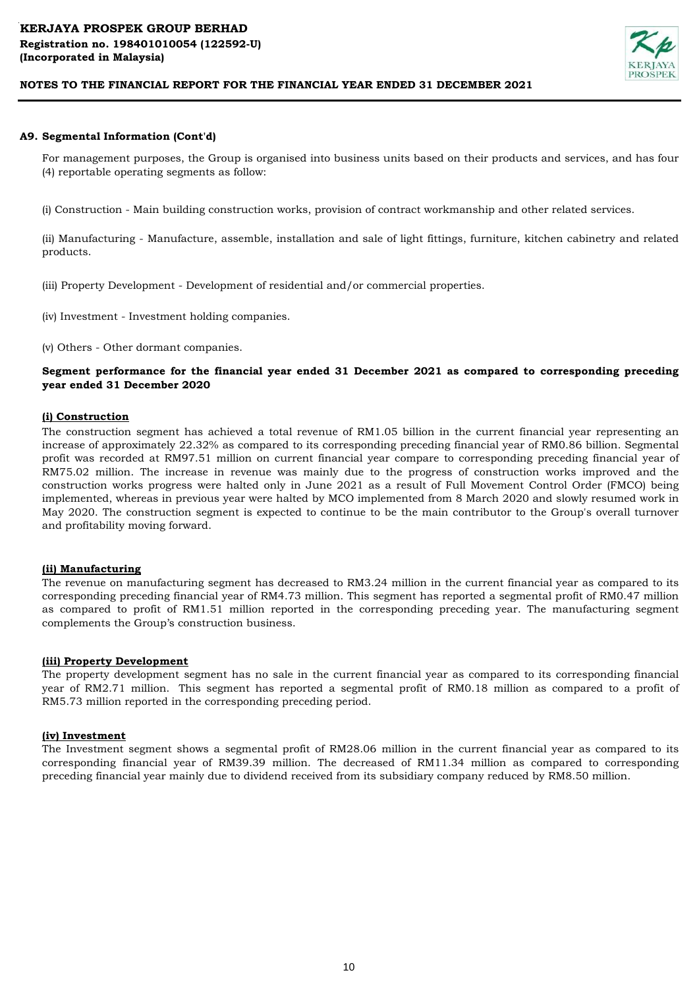

## **A9. Segmental Information (Cont'd)**

For management purposes, the Group is organised into business units based on their products and services, and has four (4) reportable operating segments as follow:

(i) Construction - Main building construction works, provision of contract workmanship and other related services.

(ii) Manufacturing - Manufacture, assemble, installation and sale of light fittings, furniture, kitchen cabinetry and related products.

(iii) Property Development - Development of residential and/or commercial properties.

(iv) Investment - Investment holding companies.

(v) Others - Other dormant companies.

# **Segment performance for the financial year ended 31 December 2021 as compared to corresponding preceding year ended 31 December 2020**

#### **(i) Construction**

The construction segment has achieved a total revenue of RM1.05 billion in the current financial year representing an increase of approximately 22.32% as compared to its corresponding preceding financial year of RM0.86 billion. Segmental profit was recorded at RM97.51 million on current financial year compare to corresponding preceding financial year of RM75.02 million. The increase in revenue was mainly due to the progress of construction works improved and the construction works progress were halted only in June 2021 as a result of Full Movement Control Order (FMCO) being implemented, whereas in previous year were halted by MCO implemented from 8 March 2020 and slowly resumed work in May 2020. The construction segment is expected to continue to be the main contributor to the Group's overall turnover and profitability moving forward.

#### **(ii) Manufacturing**

The revenue on manufacturing segment has decreased to RM3.24 million in the current financial year as compared to its corresponding preceding financial year of RM4.73 million. This segment has reported a segmental profit of RM0.47 million as compared to profit of RM1.51 million reported in the corresponding preceding year. The manufacturing segment complements the Group's construction business.

#### **(iii) Property Development**

The property development segment has no sale in the current financial year as compared to its corresponding financial year of RM2.71 million. This segment has reported a segmental profit of RM0.18 million as compared to a profit of RM5.73 million reported in the corresponding preceding period.

#### **(iv) Investment**

The Investment segment shows a segmental profit of RM28.06 million in the current financial year as compared to its corresponding financial year of RM39.39 million. The decreased of RM11.34 million as compared to corresponding preceding financial year mainly due to dividend received from its subsidiary company reduced by RM8.50 million.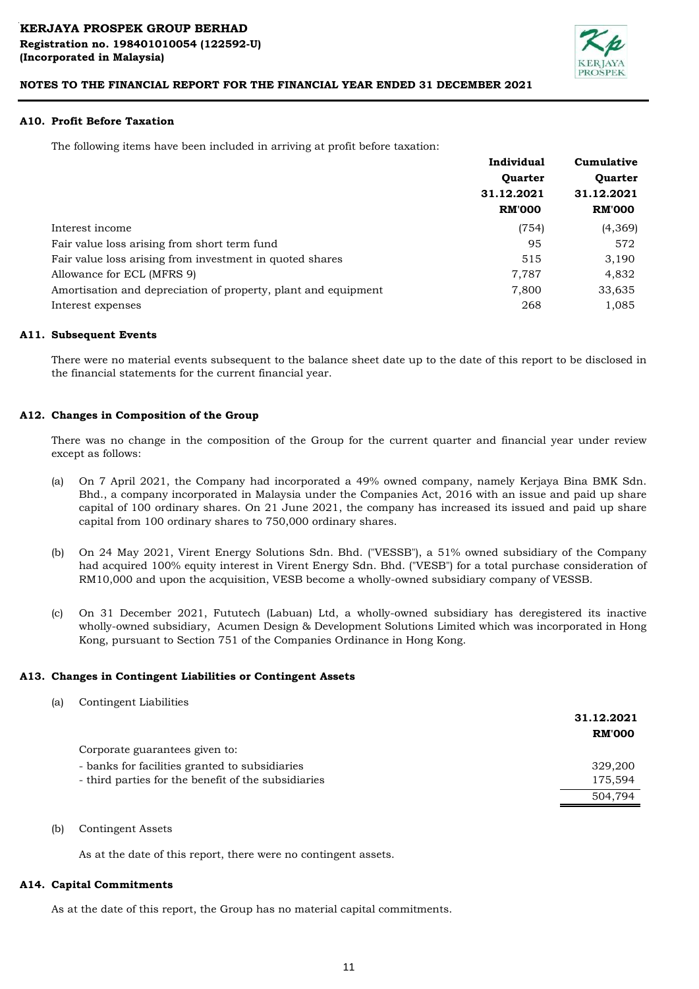

### **A10. Profit Before Taxation**

The following items have been included in arriving at profit before taxation:

|                                                                | Individual                   | Cumulative     |  |
|----------------------------------------------------------------|------------------------------|----------------|--|
|                                                                | <b>Ouarter</b><br>31.12.2021 | <b>Ouarter</b> |  |
|                                                                |                              | 31.12.2021     |  |
|                                                                | <b>RM'000</b>                | <b>RM'000</b>  |  |
| Interest income                                                | (754)                        | (4,369)        |  |
| Fair value loss arising from short term fund                   | 95                           | 572            |  |
| Fair value loss arising from investment in quoted shares       | 515                          | 3,190          |  |
| Allowance for ECL (MFRS 9)                                     | 7,787                        | 4,832          |  |
| Amortisation and depreciation of property, plant and equipment | 7,800                        | 33,635         |  |
| Interest expenses                                              | 268                          | 1,085          |  |

# **A11. Subsequent Events**

There were no material events subsequent to the balance sheet date up to the date of this report to be disclosed in the financial statements for the current financial year.

# **A12. Changes in Composition of the Group**

There was no change in the composition of the Group for the current quarter and financial year under review except as follows:

- (a) On 7 April 2021, the Company had incorporated a 49% owned company, namely Kerjaya Bina BMK Sdn. Bhd., a company incorporated in Malaysia under the Companies Act, 2016 with an issue and paid up share capital of 100 ordinary shares. On 21 June 2021, the company has increased its issued and paid up share capital from 100 ordinary shares to 750,000 ordinary shares.
- (b) On 24 May 2021, Virent Energy Solutions Sdn. Bhd. ("VESSB"), a 51% owned subsidiary of the Company had acquired 100% equity interest in Virent Energy Sdn. Bhd. ("VESB") for a total purchase consideration of RM10,000 and upon the acquisition, VESB become a wholly-owned subsidiary company of VESSB.
- (c) On 31 December 2021, Fututech (Labuan) Ltd, a wholly-owned subsidiary has deregistered its inactive wholly-owned subsidiary, Acumen Design & Development Solutions Limited which was incorporated in Hong Kong, pursuant to Section 751 of the Companies Ordinance in Hong Kong.

#### **A13. Changes in Contingent Liabilities or Contingent Assets**

(a) Contingent Liabilities

|                                                     | 31.12.2021<br><b>RM'000</b> |
|-----------------------------------------------------|-----------------------------|
| Corporate guarantees given to:                      |                             |
| - banks for facilities granted to subsidiaries      | 329,200                     |
| - third parties for the benefit of the subsidiaries | 175,594                     |
|                                                     | 504,794                     |
|                                                     |                             |

(b) Contingent Assets

As at the date of this report, there were no contingent assets.

#### **A14. Capital Commitments**

As at the date of this report, the Group has no material capital commitments.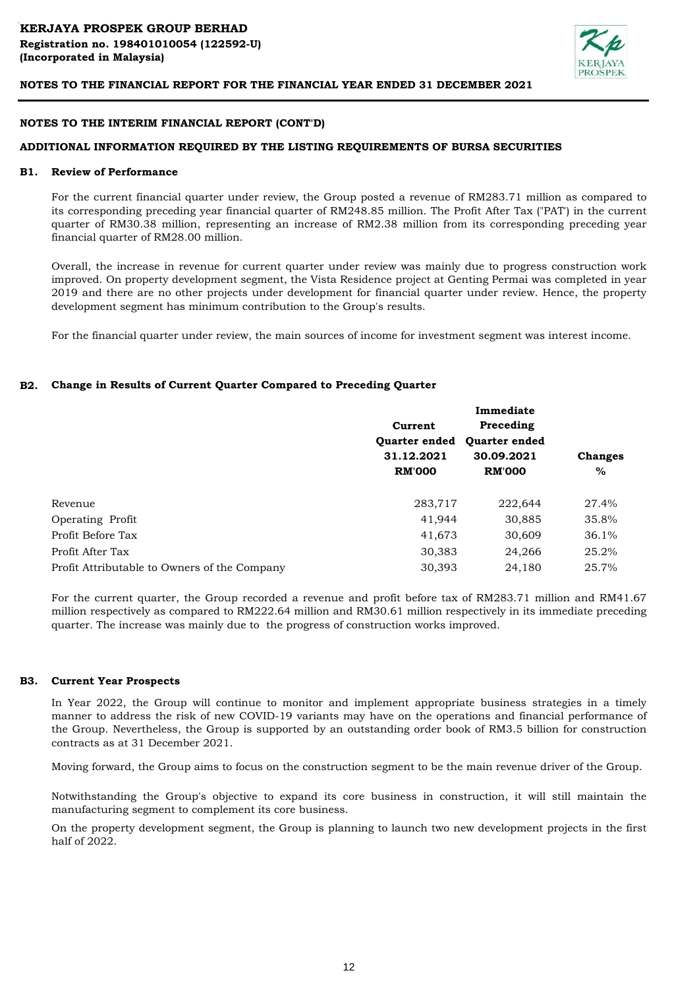

### **NOTES TO THE INTERIM FINANCIAL REPORT (CONT'D)**

# **ADDITIONAL INFORMATION REQUIRED BY THE LISTING REQUIREMENTS OF BURSA SECURITIES**

#### **B1. Review of Performance**

For the current financial quarter under review, the Group posted a revenue of RM283.71 million as compared to its corresponding preceding year financial quarter of RM248.85 million. The Profit After Tax ("PAT') in the current quarter of RM30.38 million, representing an increase of RM2.38 million from its corresponding preceding year financial quarter of RM28.00 million.

Overall, the increase in revenue for current quarter under review was mainly due to progress construction work improved. On property development segment, the Vista Residence project at Genting Permai was completed in year 2019 and there are no other projects under development for financial quarter under review. Hence, the property development segment has minimum contribution to the Group's results.

For the financial quarter under review, the main sources of income for investment segment was interest income.

#### **B2. Change in Results of Current Quarter Compared to Preceding Quarter**

|                                              |                      | Immediate            |                |
|----------------------------------------------|----------------------|----------------------|----------------|
|                                              | Current              | Preceding            |                |
|                                              | <b>Ouarter ended</b> | <b>Ouarter ended</b> |                |
|                                              | 31.12.2021           | 30.09.2021           | <b>Changes</b> |
|                                              | <b>RM'000</b>        | <b>RM'000</b>        | $\%$           |
|                                              |                      |                      |                |
| Revenue                                      | 283,717              | 222,644              | 27.4%          |
| Operating Profit                             | 41,944               | 30,885               | 35.8%          |
| Profit Before Tax                            | 41,673               | 30,609               | 36.1%          |
| Profit After Tax                             | 30,383               | 24,266               | 25.2%          |
| Profit Attributable to Owners of the Company | 30,393               | 24,180               | 25.7%          |

For the current quarter, the Group recorded a revenue and profit before tax of RM283.71 million and RM41.67 million respectively as compared to RM222.64 million and RM30.61 million respectively in its immediate preceding quarter. The increase was mainly due to the progress of construction works improved.

#### **B3. Current Year Prospects**

In Year 2022, the Group will continue to monitor and implement appropriate business strategies in a timely manner to address the risk of new COVID-19 variants may have on the operations and financial performance of the Group. Nevertheless, the Group is supported by an outstanding order book of RM3.5 billion for construction contracts as at 31 December 2021.

Moving forward, the Group aims to focus on the construction segment to be the main revenue driver of the Group.

Notwithstanding the Group's objective to expand its core business in construction, it will still maintain the manufacturing segment to complement its core business.

On the property development segment, the Group is planning to launch two new development projects in the first half of 2022.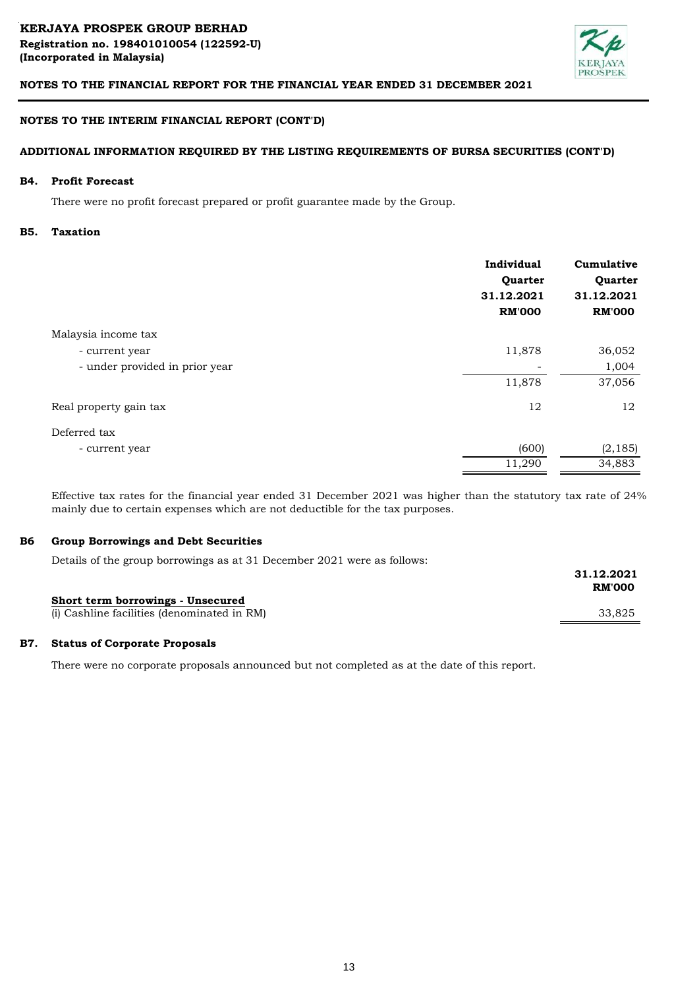

## **NOTES TO THE INTERIM FINANCIAL REPORT (CONT'D)**

## **ADDITIONAL INFORMATION REQUIRED BY THE LISTING REQUIREMENTS OF BURSA SECURITIES (CONT'D)**

#### **B4. Profit Forecast**

There were no profit forecast prepared or profit guarantee made by the Group.

#### **B5. Taxation**

|                                | Individual<br>Quarter<br>31.12.2021<br><b>RM'000</b> | Cumulative<br>Quarter<br>31.12.2021<br><b>RM'000</b> |
|--------------------------------|------------------------------------------------------|------------------------------------------------------|
| Malaysia income tax            |                                                      |                                                      |
| - current year                 | 11,878                                               | 36,052                                               |
| - under provided in prior year |                                                      | 1,004                                                |
|                                | 11,878                                               | 37,056                                               |
| Real property gain tax         | 12                                                   | 12                                                   |
| Deferred tax                   |                                                      |                                                      |
| - current year                 | (600)                                                | (2, 185)                                             |
|                                | 11,290                                               | 34,883                                               |

Effective tax rates for the financial year ended 31 December 2021 was higher than the statutory tax rate of 24% mainly due to certain expenses which are not deductible for the tax purposes.

#### **B6 Group Borrowings and Debt Securities**

Details of the group borrowings as at 31 December 2021 were as follows:

|                                             | 31.12.2021<br><b>RM'000</b> |
|---------------------------------------------|-----------------------------|
| Short term borrowings - Unsecured           |                             |
| (i) Cashline facilities (denominated in RM) | 33.825                      |

#### **B7. Status of Corporate Proposals**

There were no corporate proposals announced but not completed as at the date of this report.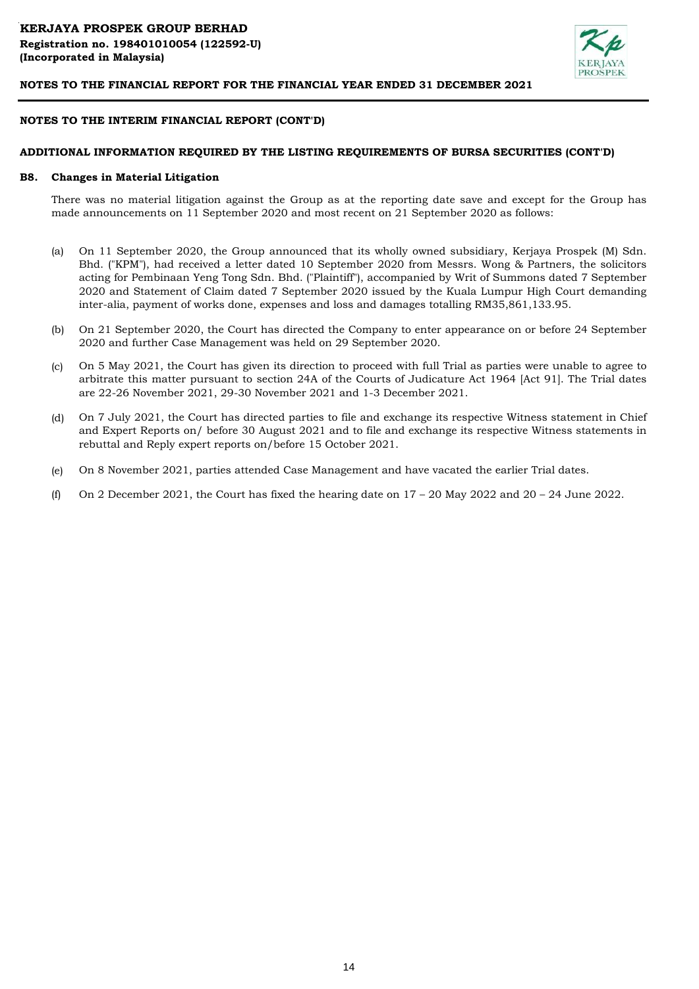

### **NOTES TO THE INTERIM FINANCIAL REPORT (CONT'D)**

### **ADDITIONAL INFORMATION REQUIRED BY THE LISTING REQUIREMENTS OF BURSA SECURITIES (CONT'D)**

#### **B8. Changes in Material Litigation**

There was no material litigation against the Group as at the reporting date save and except for the Group has made announcements on 11 September 2020 and most recent on 21 September 2020 as follows:

- (a) On 11 September 2020, the Group announced that its wholly owned subsidiary, Kerjaya Prospek (M) Sdn. Bhd. ("KPM"), had received a letter dated 10 September 2020 from Messrs. Wong & Partners, the solicitors acting for Pembinaan Yeng Tong Sdn. Bhd. ("Plaintiff"), accompanied by Writ of Summons dated 7 September 2020 and Statement of Claim dated 7 September 2020 issued by the Kuala Lumpur High Court demanding inter-alia, payment of works done, expenses and loss and damages totalling RM35,861,133.95.
- (b) On 21 September 2020, the Court has directed the Company to enter appearance on or before 24 September 2020 and further Case Management was held on 29 September 2020.
- $(c)$ On 5 May 2021, the Court has given its direction to proceed with full Trial as parties were unable to agree to arbitrate this matter pursuant to section 24A of the Courts of Judicature Act 1964 [Act 91]. The Trial dates are 22-26 November 2021, 29-30 November 2021 and 1-3 December 2021.
- (d) On 7 July 2021, the Court has directed parties to file and exchange its respective Witness statement in Chief and Expert Reports on/ before 30 August 2021 and to file and exchange its respective Witness statements in rebuttal and Reply expert reports on/before 15 October 2021.
- (e) On 8 November 2021, parties attended Case Management and have vacated the earlier Trial dates.
- (f) On 2 December 2021, the Court has fixed the hearing date on  $17 20$  May 2022 and  $20 24$  June 2022.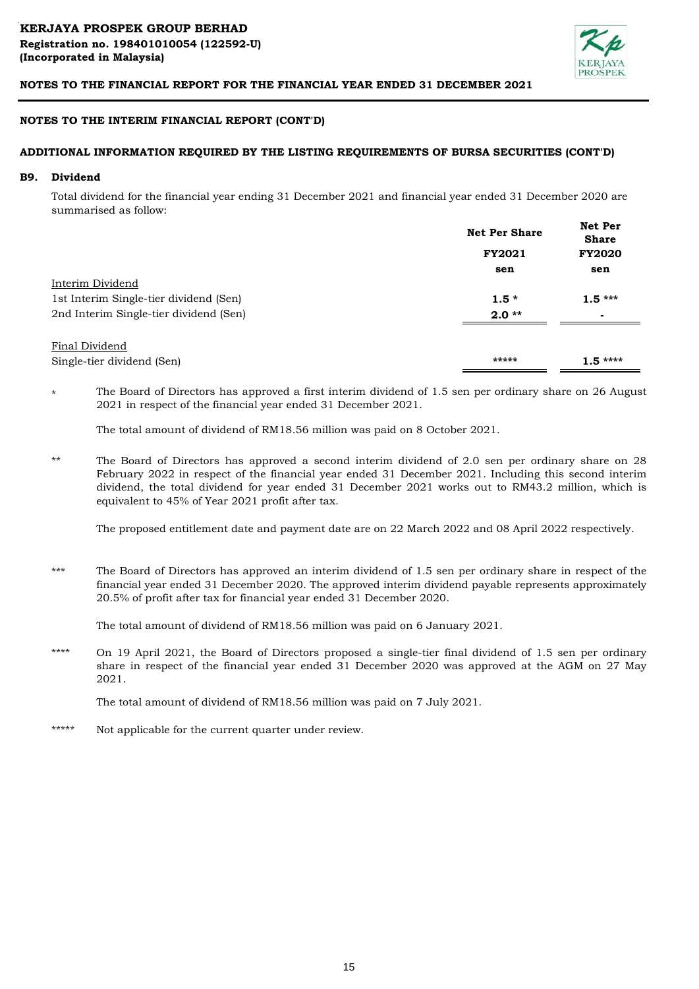

## **NOTES TO THE INTERIM FINANCIAL REPORT (CONT'D)**

## **ADDITIONAL INFORMATION REQUIRED BY THE LISTING REQUIREMENTS OF BURSA SECURITIES (CONT'D)**

#### **B9. Dividend**

Total dividend for the financial year ending 31 December 2021 and financial year ended 31 December 2020 are summarised as follow:

|                                        | <b>Net Per Share</b> | <b>Net Per</b><br><b>Share</b> |  |
|----------------------------------------|----------------------|--------------------------------|--|
|                                        | <b>FY2021</b>        | <b>FY2020</b>                  |  |
|                                        | sen                  | sen                            |  |
| Interim Dividend                       |                      |                                |  |
| 1st Interim Single-tier dividend (Sen) | $1.5*$               | $1.5***$                       |  |
| 2nd Interim Single-tier dividend (Sen) | $2.0**$              | $\overline{\phantom{0}}$       |  |
|                                        |                      |                                |  |
| Final Dividend                         |                      |                                |  |
| Single-tier dividend (Sen)             | *****                | $1.5***$                       |  |

\* The Board of Directors has approved a first interim dividend of 1.5 sen per ordinary share on 26 August 2021 in respect of the financial year ended 31 December 2021.

The total amount of dividend of RM18.56 million was paid on 8 October 2021.

\*\* The Board of Directors has approved a second interim dividend of 2.0 sen per ordinary share on 28 February 2022 in respect of the financial year ended 31 December 2021. Including this second interim dividend, the total dividend for year ended 31 December 2021 works out to RM43.2 million, which is equivalent to 45% of Year 2021 profit after tax.

The proposed entitlement date and payment date are on 22 March 2022 and 08 April 2022 respectively.

\*\*\* The Board of Directors has approved an interim dividend of 1.5 sen per ordinary share in respect of the financial year ended 31 December 2020. The approved interim dividend payable represents approximately 20.5% of profit after tax for financial year ended 31 December 2020.

The total amount of dividend of RM18.56 million was paid on 6 January 2021.

\*\*\*\* On 19 April 2021, the Board of Directors proposed a single-tier final dividend of 1.5 sen per ordinary share in respect of the financial year ended 31 December 2020 was approved at the AGM on 27 May 2021.

The total amount of dividend of RM18.56 million was paid on 7 July 2021.

\*\*\*\*\* Not applicable for the current quarter under review.